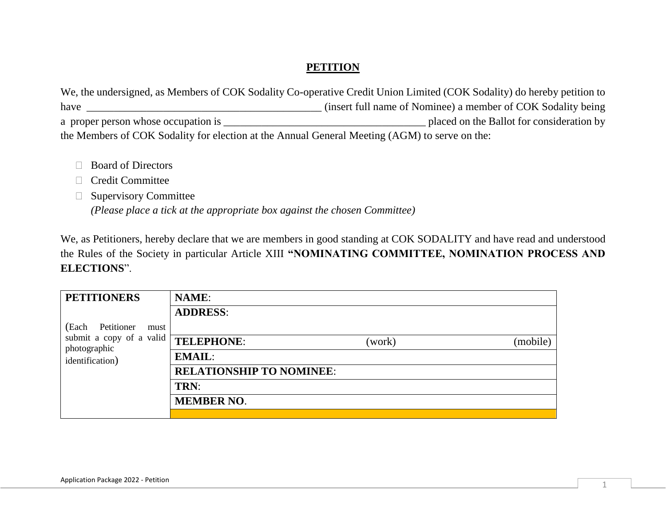## **PETITION**

We, the undersigned, as Members of COK Sodality Co-operative Credit Union Limited (COK Sodality) do hereby petition to have \_\_\_\_\_\_\_\_\_\_\_\_\_\_\_\_\_\_\_\_\_\_\_\_\_\_\_\_\_\_\_\_\_\_\_\_\_\_\_\_\_\_\_ (insert full name of Nominee) a member of COK Sodality being a proper person whose occupation is  $\Box$  placed on the Ballot for consideration by the Members of COK Sodality for election at the Annual General Meeting (AGM) to serve on the:

- □ Board of Directors
- Credit Committee
- **Supervisory Committee**

*(Please place a tick at the appropriate box against the chosen Committee)*

We, as Petitioners, hereby declare that we are members in good standing at COK SODALITY and have read and understood the Rules of the Society in particular Article XIII **"NOMINATING COMMITTEE, NOMINATION PROCESS AND ELECTIONS**".

| <b>PETITIONERS</b>                       | <b>NAME:</b>                    |        |          |
|------------------------------------------|---------------------------------|--------|----------|
|                                          | <b>ADDRESS:</b>                 |        |          |
| (Each<br>Petitioner<br>must              |                                 |        |          |
| submit a copy of a valid<br>photographic | TELEPHONE:                      | (work) | (mobile) |
| identification)                          | <b>EMAIL:</b>                   |        |          |
|                                          | <b>RELATIONSHIP TO NOMINEE:</b> |        |          |
|                                          | TRN:                            |        |          |
|                                          | <b>MEMBER NO.</b>               |        |          |
|                                          |                                 |        |          |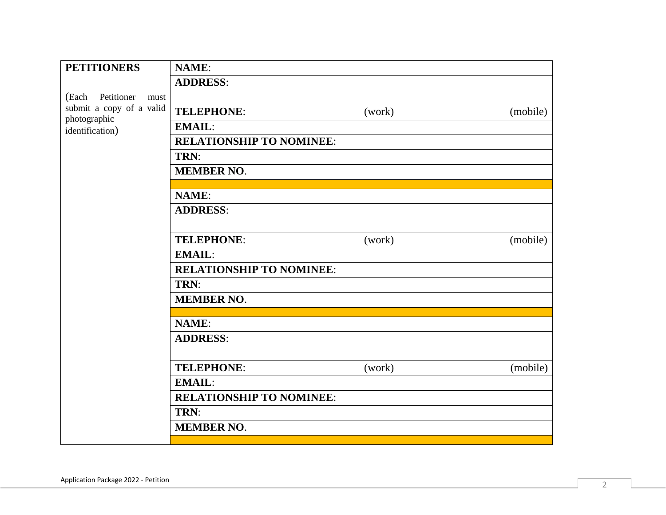| <b>PETITIONERS</b>                                          | <b>NAME:</b>                    |        |          |  |
|-------------------------------------------------------------|---------------------------------|--------|----------|--|
|                                                             | <b>ADDRESS:</b>                 |        |          |  |
| (Each Petitioner<br>must                                    |                                 |        |          |  |
| submit a copy of a valid<br>photographic<br>identification) | <b>TELEPHONE:</b>               | (work) | (mobile) |  |
|                                                             | <b>EMAIL:</b>                   |        |          |  |
|                                                             | <b>RELATIONSHIP TO NOMINEE:</b> |        |          |  |
|                                                             | TRN:                            |        |          |  |
|                                                             | <b>MEMBER NO.</b>               |        |          |  |
|                                                             |                                 |        |          |  |
|                                                             | <b>NAME:</b>                    |        |          |  |
|                                                             | <b>ADDRESS:</b>                 |        |          |  |
|                                                             |                                 |        |          |  |
|                                                             | <b>TELEPHONE:</b>               | (work) | (mobile) |  |
|                                                             | <b>EMAIL:</b>                   |        |          |  |
|                                                             | <b>RELATIONSHIP TO NOMINEE:</b> |        |          |  |
|                                                             | TRN:                            |        |          |  |
|                                                             | <b>MEMBER NO.</b>               |        |          |  |
|                                                             |                                 |        |          |  |
|                                                             | <b>NAME:</b>                    |        |          |  |
|                                                             | <b>ADDRESS:</b>                 |        |          |  |
|                                                             |                                 |        |          |  |
|                                                             | <b>TELEPHONE:</b>               | (work) | (mobile) |  |
|                                                             | <b>EMAIL:</b>                   |        |          |  |
|                                                             | <b>RELATIONSHIP TO NOMINEE:</b> |        |          |  |
|                                                             | TRN:                            |        |          |  |
|                                                             | <b>MEMBER NO.</b>               |        |          |  |
|                                                             |                                 |        |          |  |